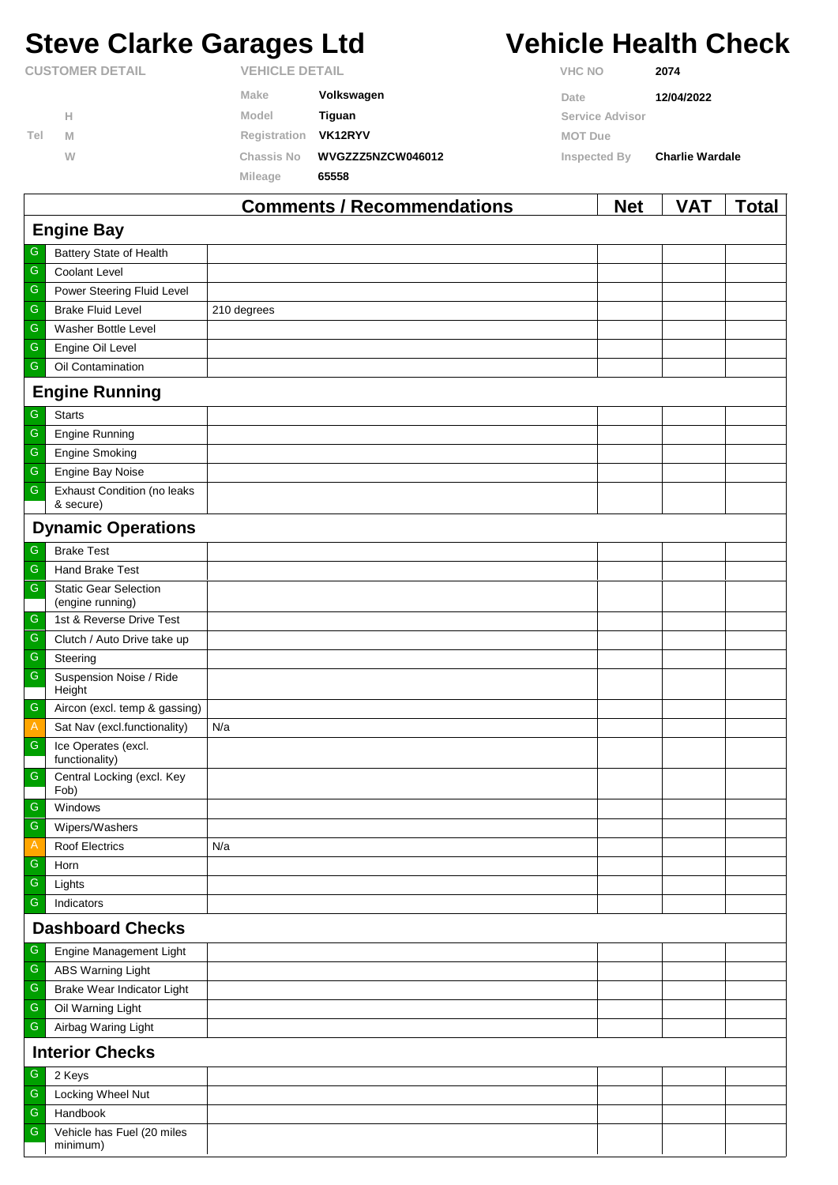# **Steve Clarke Garages Ltd Vehicle Health Check**

|                        |   |                       | Commonts / Recommondations | <b>Not</b>      | <b>VAT</b>             | Total |
|------------------------|---|-----------------------|----------------------------|-----------------|------------------------|-------|
|                        |   | Mileage               | 65558                      |                 |                        |       |
|                        | W | Chassis No            | WVGZZZ5NZCW046012          | Inspected By    | <b>Charlie Wardale</b> |       |
| Tel                    | M | Registration          | VK12RYV                    | <b>MOT Due</b>  |                        |       |
|                        | Н | Model                 | Tiguan                     | Service Advisor |                        |       |
|                        |   | Make                  | Volkswagen                 | Date            | 12/04/2022             |       |
| <b>CUSTOMER DETAIL</b> |   | <b>VEHICLE DETAIL</b> |                            | <b>VHC NO</b>   | 2074                   |       |

|                         |                                                  | Comments / Recommendations | <b>Net</b> | <b>VAI</b> | <u>i</u> otal |  |  |
|-------------------------|--------------------------------------------------|----------------------------|------------|------------|---------------|--|--|
| <b>Engine Bay</b>       |                                                  |                            |            |            |               |  |  |
| G                       | <b>Battery State of Health</b>                   |                            |            |            |               |  |  |
| G                       | Coolant Level                                    |                            |            |            |               |  |  |
| ${\mathbb G}$           | Power Steering Fluid Level                       |                            |            |            |               |  |  |
| G                       | <b>Brake Fluid Level</b>                         | 210 degrees                |            |            |               |  |  |
| ${\mathbb G}$           | Washer Bottle Level                              |                            |            |            |               |  |  |
| G                       | Engine Oil Level                                 |                            |            |            |               |  |  |
| ${\mathbb G}$           | Oil Contamination                                |                            |            |            |               |  |  |
|                         | <b>Engine Running</b>                            |                            |            |            |               |  |  |
| ${\mathbb G}$           | <b>Starts</b>                                    |                            |            |            |               |  |  |
| ${\mathbb G}$           | <b>Engine Running</b>                            |                            |            |            |               |  |  |
| ${\mathbb G}$           | <b>Engine Smoking</b>                            |                            |            |            |               |  |  |
| ${\mathbb G}$           | Engine Bay Noise                                 |                            |            |            |               |  |  |
| ${\mathbb G}$           | <b>Exhaust Condition (no leaks</b><br>& secure)  |                            |            |            |               |  |  |
|                         | <b>Dynamic Operations</b>                        |                            |            |            |               |  |  |
| $\mathsf G$             | <b>Brake Test</b>                                |                            |            |            |               |  |  |
| G                       | <b>Hand Brake Test</b>                           |                            |            |            |               |  |  |
| ${\mathsf G}$           | <b>Static Gear Selection</b><br>(engine running) |                            |            |            |               |  |  |
| G                       | 1st & Reverse Drive Test                         |                            |            |            |               |  |  |
| G                       | Clutch / Auto Drive take up                      |                            |            |            |               |  |  |
| ${\mathbb G}$           | Steering                                         |                            |            |            |               |  |  |
| ${\mathsf G}$           | Suspension Noise / Ride<br>Height                |                            |            |            |               |  |  |
| $\mathsf{G}$            | Aircon (excl. temp & gassing)                    |                            |            |            |               |  |  |
| $\mathsf{A}$            | Sat Nav (excl.functionality)                     | N/a                        |            |            |               |  |  |
| ${\mathsf G}$           | Ice Operates (excl.<br>functionality)            |                            |            |            |               |  |  |
| ${\mathsf G}$           | Central Locking (excl. Key<br>Fob)               |                            |            |            |               |  |  |
| G                       | Windows                                          |                            |            |            |               |  |  |
| ${\mathsf G}$           | Wipers/Washers                                   |                            |            |            |               |  |  |
| A                       | <b>Roof Electrics</b>                            | N/a                        |            |            |               |  |  |
| ${\mathbb G}$           | Horn                                             |                            |            |            |               |  |  |
| G                       | Lights                                           |                            |            |            |               |  |  |
| G                       | Indicators                                       |                            |            |            |               |  |  |
| <b>Dashboard Checks</b> |                                                  |                            |            |            |               |  |  |
| G                       | Engine Management Light                          |                            |            |            |               |  |  |
| ${\mathbb G}$           | <b>ABS Warning Light</b>                         |                            |            |            |               |  |  |
| G                       | Brake Wear Indicator Light                       |                            |            |            |               |  |  |
| ${\mathbb G}$           | Oil Warning Light                                |                            |            |            |               |  |  |
| ${\mathbb G}$           | Airbag Waring Light                              |                            |            |            |               |  |  |
| <b>Interior Checks</b>  |                                                  |                            |            |            |               |  |  |
| G                       | 2 Keys                                           |                            |            |            |               |  |  |
| G                       | Locking Wheel Nut                                |                            |            |            |               |  |  |
| ${\mathbb G}$           | Handbook                                         |                            |            |            |               |  |  |
| G                       | Vehicle has Fuel (20 miles<br>minimum)           |                            |            |            |               |  |  |